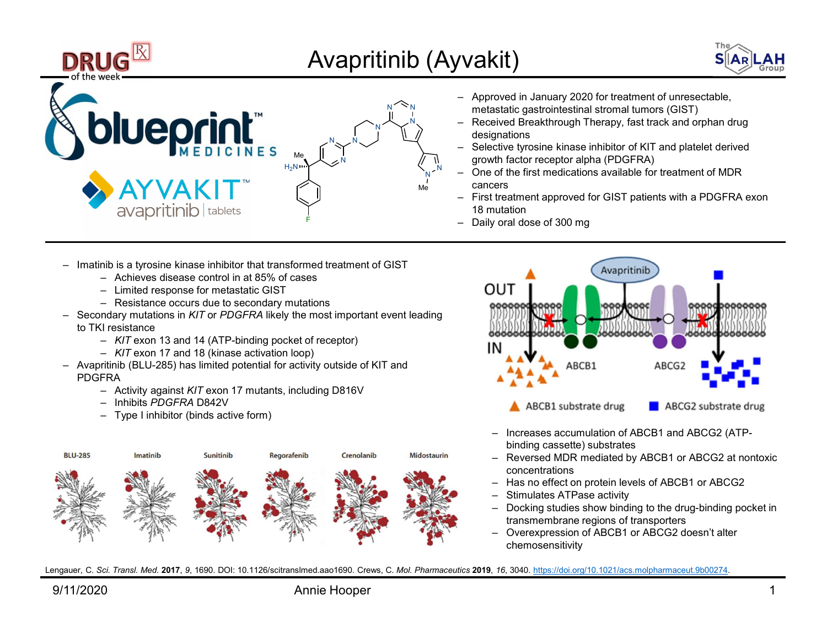





- $\frac{N}{N}$   $\sum_{i=1}^{N}$  metastatic gastrointestinal stromal tumors (GIST)
- $\begin{array}{lll} \textbf{W} & \textbf{S} & \textbf{L} & \textbf{L} & \textbf{L} \\ \textbf{W} & \textbf{S} & \textbf{L} & \textbf{L} & \textbf{L} \\ \textbf{A} & \textbf{H} & \textbf{L} & \textbf{L} & \textbf{L} \\ \textbf{D} & \textbf{H} & \textbf{L} & \textbf{L} & \textbf{L} & \textbf{L} \\ \textbf{D} & \textbf{H} & \textbf{L} & \textbf{L} & \textbf{L} & \textbf{L} \\ \textbf{D} & \textbf{L} & \textbf{L} & \text$ designations  $\text{N} \nearrow \text{N}$   $\text{N}$   $\rightarrow$  Received Breakthrough Therapy, fast tra
- $\begin{tabular}{ll} \multicolumn{1}{l} \multicolumn{1}{l}{{\bf{NAR}}}{\bf{LAH}}\\ \multicolumn{1}{l}{-}{\bf{Approx}{{\bf{R}}}{\bf{N}}}\\ \multicolumn{1}{l}{-}{\bf{Approx}{{\bf{R}}}{\bf{N}}}\\ \multicolumn{1}{l}{-}{\bf{Approx}{{\bf{R}}}{\bf{N}}}\\ \multicolumn{1}{l}{-}{\bf{Received Breakthrough The}rapy, fast track and orphan drug designations} \\ \multicolumn{1}{l}{\bf{S[AR)}}{\bf{LAH}}\\ \multicolumn{1}{l}{-}{\bf{Received Breakthrough} \textbf{The} rapy, fast track and orphan drug design$ ‒ Selective tyrosine kinase inhibitor of KIT and platelet derived  $\mathbb{N}$   $\mathbb{N}$   $\mathbb{N}$  growth factor receptor alpha (PDGFRA) - Selective tyrosine kinase inhibitor of KIT and platelet derived
	- cancers  $N^2$ <sup>N</sup> – One of the first medications available for treatr  $Me$  Cancers  $C$
- The Silary 1992<br>
 Approved in January 2020 for treatment of unresectable,<br>
metastatic gastrointestinal stromal tumors (GIST)<br>
 Received Breakthrough Therapy, fast track and orphan drug<br>
designations<br>
 Selective tyrosine Frequency of the Marian Contract of the S( $\overline{AB}$  LAH<br>
- Approved in January 2020 for treatment of unresectable,<br>
metastatic gastrointestinal stromal tumors (GIST)<br>
- Received Breakthrough Therapy, fast track and orphan 18 mutation
	- Daily oral dose of 300 mg
- Wakit)<br>
S  $\left(\frac{\text{Eq}}{\text{Eq}}\right)$ <br>
 Approved in January 2020 for treatment of unresectable,<br>
metastatic gastrointestinal stromal tumors (GIST)<br>
 Received Breakthrough Therapy, fast track and orphan drug<br>
designations<br>
 Sel For a content of MDR<br>
The first medications available for treatment of MDR<br>
The first medications available for treatment of MDR<br>
The first medication available for treatment of MDR<br>
The first medication of GIST patients w Examenta approved for GIST patients with a PDGFRA exon<br>
untation<br>
(or al dose of 300 mg<br>
and the set of 300 mg<br>
and the set of 300 mg<br>
and the set of 300 mg<br>
and the set of 300 mg<br>
and the set of 300 mg<br>
and the set of 300 Notes of 300 mg<br>
NOVEMBER (NATIONAL CONTRACT)<br>
NOTES OF ABCB1<br>
NOTES OF ABCB1<br>
ABCB1 substrate drug<br>
- Increases accumulation of ABCB1 and ABCG2 (ATP-<br>
- Increases accumulation of ABCB1 and ABCG2 (ATP-<br>
- Reversed MDR medi N<br>
MARGE STIMULATED AND THE STIMULATED AND THE STIMULATED AND RECESSED AND ARCORAGE STIMULATED AND CONTINUES.<br>
A ABCB1 substrate drug **ABCG2** substrate drug<br>
- Increases accumulation of ABCB1 and ABCG2 (ATP-<br>
binding casse ‒ Docking studies show binding to the drug-binding pocket in American Marcus Control of ABCB1 or ABCG2<br>
ABCB1 Substitute drug<br>
ABCB1 substrate drug<br>
Increases accumulation of ABCB1 and ABCG2 (ATP-<br>
Newsread MDR mediated by ABCB1 or ABCG2 at nontoxic<br>
Simulates ATPase activity<br>
Subst N<br>
ARCB1<br>
MARCB1<br>
ABCB1<br>
ABCB1<br>
ABCB1<br>
ABCB1<br>
ABCB1<br>
ABCB1<br>
ABCB1<br>
ABCB1<br>
ABCB1<br>
ABCB1<br>
ABCG2<br>
- Increases accumulation of ABCB1 and ABCG2 (ATP-<br>
binding cassette) substrates<br>
Overexpression of ABCB1 or ABCG2 at nontoxic<br>
	- binding cassette) substrates
	- concentrations
	-
	-
	-
	- chemosensitivity

Lengauer, C. Sci. Transl. Med. 2017, 9, 1690. DOI: 10.1126/scitranslmed.aao1690. Crews, C. Mol. Pharmaceutics 2019, 16, 3040. https://doi.org/10.1021/acs.molpharmaceut.9b00274.



- 
- 
- 
- to TKI resistance
	-
	-
- PDGFRA
	-
	-
	-